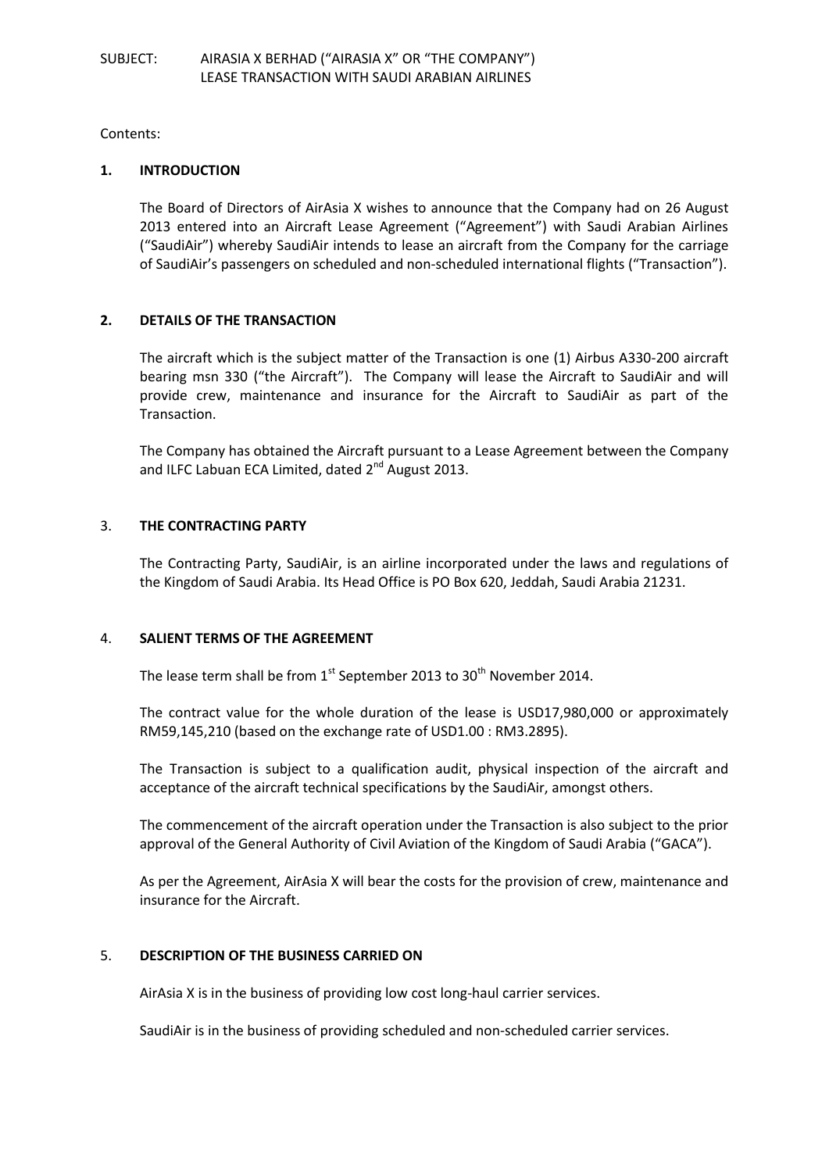Contents:

## **1. INTRODUCTION**

The Board of Directors of AirAsia X wishes to announce that the Company had on 26 August 2013 entered into an Aircraft Lease Agreement ("Agreement") with Saudi Arabian Airlines ("SaudiAir") whereby SaudiAir intends to lease an aircraft from the Company for the carriage of SaudiAir's passengers on scheduled and non-scheduled international flights ("Transaction").

# **2. DETAILS OF THE TRANSACTION**

The aircraft which is the subject matter of the Transaction is one (1) Airbus A330-200 aircraft bearing msn 330 ("the Aircraft"). The Company will lease the Aircraft to SaudiAir and will provide crew, maintenance and insurance for the Aircraft to SaudiAir as part of the Transaction.

The Company has obtained the Aircraft pursuant to a Lease Agreement between the Company and ILFC Labuan ECA Limited, dated 2<sup>nd</sup> August 2013.

# 3. **THE CONTRACTING PARTY**

The Contracting Party, SaudiAir, is an airline incorporated under the laws and regulations of the Kingdom of Saudi Arabia. Its Head Office is PO Box 620, Jeddah, Saudi Arabia 21231.

# 4. **SALIENT TERMS OF THE AGREEMENT**

The lease term shall be from  $1<sup>st</sup>$  September 2013 to 30<sup>th</sup> November 2014.

The contract value for the whole duration of the lease is USD17,980,000 or approximately RM59,145,210 (based on the exchange rate of USD1.00 : RM3.2895).

The Transaction is subject to a qualification audit, physical inspection of the aircraft and acceptance of the aircraft technical specifications by the SaudiAir, amongst others.

The commencement of the aircraft operation under the Transaction is also subject to the prior approval of the General Authority of Civil Aviation of the Kingdom of Saudi Arabia ("GACA").

As per the Agreement, AirAsia X will bear the costs for the provision of crew, maintenance and insurance for the Aircraft.

# 5. **DESCRIPTION OF THE BUSINESS CARRIED ON**

AirAsia X is in the business of providing low cost long-haul carrier services.

SaudiAir is in the business of providing scheduled and non-scheduled carrier services.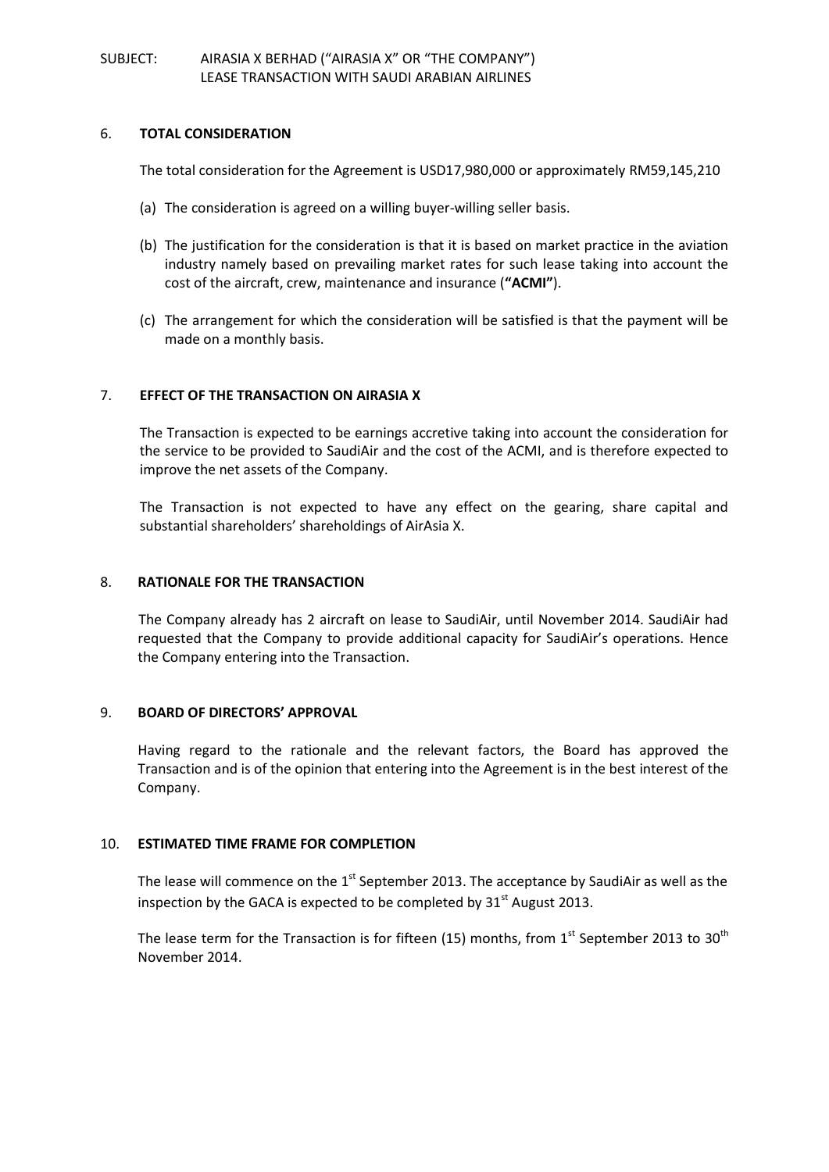#### 6. **TOTAL CONSIDERATION**

The total consideration for the Agreement is USD17,980,000 or approximately RM59,145,210

- (a) The consideration is agreed on a willing buyer-willing seller basis.
- (b) The justification for the consideration is that it is based on market practice in the aviation industry namely based on prevailing market rates for such lease taking into account the cost of the aircraft, crew, maintenance and insurance (**"ACMI"**).
- (c) The arrangement for which the consideration will be satisfied is that the payment will be made on a monthly basis.

# 7. **EFFECT OF THE TRANSACTION ON AIRASIA X**

The Transaction is expected to be earnings accretive taking into account the consideration for the service to be provided to SaudiAir and the cost of the ACMI, and is therefore expected to improve the net assets of the Company.

The Transaction is not expected to have any effect on the gearing, share capital and substantial shareholders' shareholdings of AirAsia X.

## 8. **RATIONALE FOR THE TRANSACTION**

The Company already has 2 aircraft on lease to SaudiAir, until November 2014. SaudiAir had requested that the Company to provide additional capacity for SaudiAir's operations. Hence the Company entering into the Transaction.

#### 9. **BOARD OF DIRECTORS' APPROVAL**

Having regard to the rationale and the relevant factors, the Board has approved the Transaction and is of the opinion that entering into the Agreement is in the best interest of the Company.

#### 10. **ESTIMATED TIME FRAME FOR COMPLETION**

The lease will commence on the  $1<sup>st</sup>$  September 2013. The acceptance by SaudiAir as well as the inspection by the GACA is expected to be completed by  $31<sup>st</sup>$  August 2013.

The lease term for the Transaction is for fifteen (15) months, from  $1<sup>st</sup>$  September 2013 to 30<sup>th</sup> November 2014.